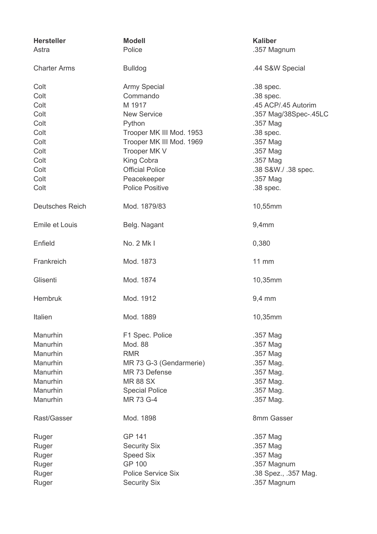| <b>Hersteller</b>      | <b>Modell</b>             | <b>Kaliber</b>        |
|------------------------|---------------------------|-----------------------|
| Astra                  | Police                    | .357 Magnum           |
| <b>Charter Arms</b>    | <b>Bulldog</b>            | .44 S&W Special       |
| Colt                   | <b>Army Special</b>       | $.38$ spec.           |
| Colt                   | Commando                  | .38 spec.             |
| Colt                   | M 1917                    | .45 ACP/.45 Autorim   |
| Colt                   | <b>New Service</b>        | .357 Mag/38Spec-.45LC |
| Colt                   | Python                    | .357 Mag              |
| Colt                   | Trooper MK III Mod. 1953  | .38 spec.             |
| Colt                   | Trooper MK III Mod. 1969  | .357 Mag              |
| Colt                   | Trooper MK V              | .357 Mag              |
| Colt                   | King Cobra                | .357 Mag              |
| Colt                   | <b>Official Police</b>    | .38 S&W./ .38 spec.   |
| Colt                   | Peacekeeper               | .357 Mag              |
|                        | <b>Police Positive</b>    |                       |
| Colt                   |                           | .38 spec.             |
| <b>Deutsches Reich</b> | Mod. 1879/83              | 10,55mm               |
| Emile et Louis         | Belg. Nagant              | 9,4mm                 |
| Enfield                | No. 2 Mk I                | 0,380                 |
| Frankreich             | Mod. 1873                 | 11 mm                 |
| Glisenti               | Mod. 1874                 | 10,35mm               |
| <b>Hembruk</b>         | Mod. 1912                 | 9,4 mm                |
| Italien                | Mod. 1889                 | 10,35mm               |
| Manurhin               | F1 Spec. Police           | .357 Mag              |
| Manurhin               | Mod. 88                   | .357 Mag              |
| Manurhin               | <b>RMR</b>                | .357 Mag              |
| Manurhin               | MR 73 G-3 (Gendarmerie)   | .357 Mag.             |
| Manurhin               | MR 73 Defense             | .357 Mag.             |
| Manurhin               | <b>MR88 SX</b>            | .357 Mag.             |
| Manurhin               | <b>Special Police</b>     | .357 Mag.             |
| Manurhin               | MR 73 G-4                 | .357 Mag.             |
| Rast/Gasser            | Mod. 1898                 | 8mm Gasser            |
| Ruger                  | GP 141                    | .357 Mag              |
| Ruger                  | <b>Security Six</b>       | .357 Mag              |
| Ruger                  | <b>Speed Six</b>          | .357 Mag              |
| Ruger                  | <b>GP 100</b>             | .357 Magnum           |
| Ruger                  | <b>Police Service Six</b> | .38 Spez., .357 Mag.  |
| Ruger                  | <b>Security Six</b>       | .357 Magnum           |